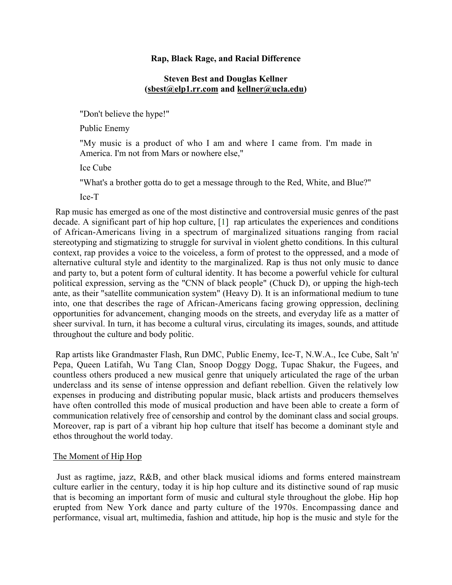#### **Rap, Black Rage, and Racial Difference**

# **Steven Best and Douglas Kellner (sbest@elp1.rr.com and kellner@ucla.edu)**

"Don't believe the hype!"

Public Enemy

"My music is a product of who I am and where I came from. I'm made in America. I'm not from Mars or nowhere else,"

Ice Cube

"What's a brother gotta do to get a message through to the Red, White, and Blue?"

Ice-T

Rap music has emerged as one of the most distinctive and controversial music genres of the past decade. A significant part of hip hop culture, [1] rap articulates the experiences and conditions of African-Americans living in a spectrum of marginalized situations ranging from racial stereotyping and stigmatizing to struggle for survival in violent ghetto conditions. In this cultural context, rap provides a voice to the voiceless, a form of protest to the oppressed, and a mode of alternative cultural style and identity to the marginalized. Rap is thus not only music to dance and party to, but a potent form of cultural identity. It has become a powerful vehicle for cultural political expression, serving as the "CNN of black people" (Chuck D), or upping the high-tech ante, as their "satellite communication system" (Heavy D). It is an informational medium to tune into, one that describes the rage of African-Americans facing growing oppression, declining opportunities for advancement, changing moods on the streets, and everyday life as a matter of sheer survival. In turn, it has become a cultural virus, circulating its images, sounds, and attitude throughout the culture and body politic.

Rap artists like Grandmaster Flash, Run DMC, Public Enemy, Ice-T, N.W.A., Ice Cube, Salt 'n' Pepa, Queen Latifah, Wu Tang Clan, Snoop Doggy Dogg, Tupac Shakur, the Fugees, and countless others produced a new musical genre that uniquely articulated the rage of the urban underclass and its sense of intense oppression and defiant rebellion. Given the relatively low expenses in producing and distributing popular music, black artists and producers themselves have often controlled this mode of musical production and have been able to create a form of communication relatively free of censorship and control by the dominant class and social groups. Moreover, rap is part of a vibrant hip hop culture that itself has become a dominant style and ethos throughout the world today.

# The Moment of Hip Hop

Just as ragtime, jazz, R&B, and other black musical idioms and forms entered mainstream culture earlier in the century, today it is hip hop culture and its distinctive sound of rap music that is becoming an important form of music and cultural style throughout the globe. Hip hop erupted from New York dance and party culture of the 1970s. Encompassing dance and performance, visual art, multimedia, fashion and attitude, hip hop is the music and style for the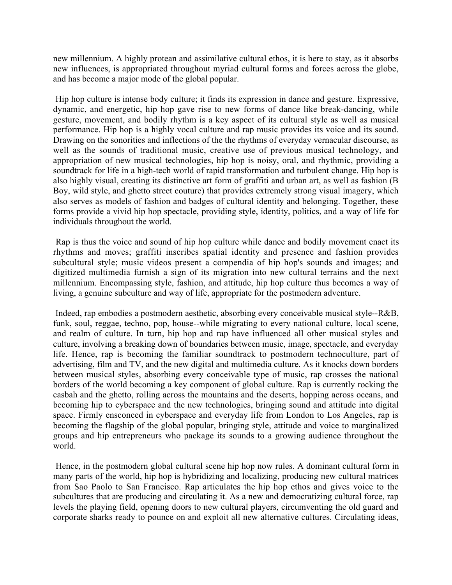new millennium. A highly protean and assimilative cultural ethos, it is here to stay, as it absorbs new influences, is appropriated throughout myriad cultural forms and forces across the globe, and has become a major mode of the global popular.

Hip hop culture is intense body culture; it finds its expression in dance and gesture. Expressive, dynamic, and energetic, hip hop gave rise to new forms of dance like break-dancing, while gesture, movement, and bodily rhythm is a key aspect of its cultural style as well as musical performance. Hip hop is a highly vocal culture and rap music provides its voice and its sound. Drawing on the sonorities and inflections of the the rhythms of everyday vernacular discourse, as well as the sounds of traditional music, creative use of previous musical technology, and appropriation of new musical technologies, hip hop is noisy, oral, and rhythmic, providing a soundtrack for life in a high-tech world of rapid transformation and turbulent change. Hip hop is also highly visual, creating its distinctive art form of graffiti and urban art, as well as fashion (B Boy, wild style, and ghetto street couture) that provides extremely strong visual imagery, which also serves as models of fashion and badges of cultural identity and belonging. Together, these forms provide a vivid hip hop spectacle, providing style, identity, politics, and a way of life for individuals throughout the world.

Rap is thus the voice and sound of hip hop culture while dance and bodily movement enact its rhythms and moves; graffiti inscribes spatial identity and presence and fashion provides subcultural style; music videos present a compendia of hip hop's sounds and images; and digitized multimedia furnish a sign of its migration into new cultural terrains and the next millennium. Encompassing style, fashion, and attitude, hip hop culture thus becomes a way of living, a genuine subculture and way of life, appropriate for the postmodern adventure.

Indeed, rap embodies a postmodern aesthetic, absorbing every conceivable musical style--R&B, funk, soul, reggae, techno, pop, house--while migrating to every national culture, local scene, and realm of culture. In turn, hip hop and rap have influenced all other musical styles and culture, involving a breaking down of boundaries between music, image, spectacle, and everyday life. Hence, rap is becoming the familiar soundtrack to postmodern technoculture, part of advertising, film and TV, and the new digital and multimedia culture. As it knocks down borders between musical styles, absorbing every conceivable type of music, rap crosses the national borders of the world becoming a key component of global culture. Rap is currently rocking the casbah and the ghetto, rolling across the mountains and the deserts, hopping across oceans, and becoming hip to cyberspace and the new technologies, bringing sound and attitude into digital space. Firmly ensconced in cyberspace and everyday life from London to Los Angeles, rap is becoming the flagship of the global popular, bringing style, attitude and voice to marginalized groups and hip entrepreneurs who package its sounds to a growing audience throughout the world.

Hence, in the postmodern global cultural scene hip hop now rules. A dominant cultural form in many parts of the world, hip hop is hybridizing and localizing, producing new cultural matrices from Sao Paolo to San Francisco. Rap articulates the hip hop ethos and gives voice to the subcultures that are producing and circulating it. As a new and democratizing cultural force, rap levels the playing field, opening doors to new cultural players, circumventing the old guard and corporate sharks ready to pounce on and exploit all new alternative cultures. Circulating ideas,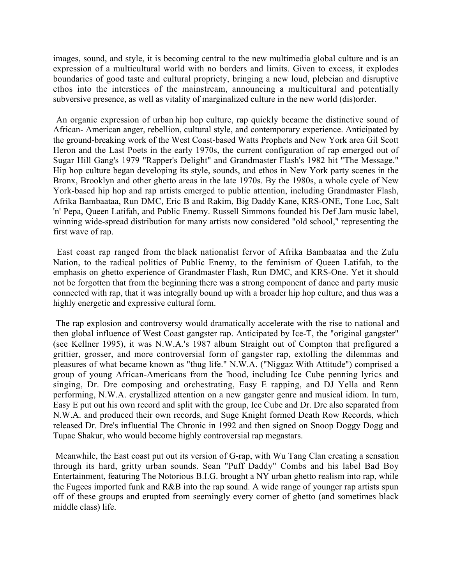images, sound, and style, it is becoming central to the new multimedia global culture and is an expression of a multicultural world with no borders and limits. Given to excess, it explodes boundaries of good taste and cultural propriety, bringing a new loud, plebeian and disruptive ethos into the interstices of the mainstream, announcing a multicultural and potentially subversive presence, as well as vitality of marginalized culture in the new world (dis)order.

An organic expression of urban hip hop culture, rap quickly became the distinctive sound of African- American anger, rebellion, cultural style, and contemporary experience. Anticipated by the ground-breaking work of the West Coast-based Watts Prophets and New York area Gil Scott Heron and the Last Poets in the early 1970s, the current configuration of rap emerged out of Sugar Hill Gang's 1979 "Rapper's Delight" and Grandmaster Flash's 1982 hit "The Message." Hip hop culture began developing its style, sounds, and ethos in New York party scenes in the Bronx, Brooklyn and other ghetto areas in the late 1970s. By the 1980s, a whole cycle of New York-based hip hop and rap artists emerged to public attention, including Grandmaster Flash, Afrika Bambaataa, Run DMC, Eric B and Rakim, Big Daddy Kane, KRS-ONE, Tone Loc, Salt 'n' Pepa, Queen Latifah, and Public Enemy. Russell Simmons founded his Def Jam music label, winning wide-spread distribution for many artists now considered "old school," representing the first wave of rap.

East coast rap ranged from the black nationalist fervor of Afrika Bambaataa and the Zulu Nation, to the radical politics of Public Enemy, to the feminism of Queen Latifah, to the emphasis on ghetto experience of Grandmaster Flash, Run DMC, and KRS-One. Yet it should not be forgotten that from the beginning there was a strong component of dance and party music connected with rap, that it was integrally bound up with a broader hip hop culture, and thus was a highly energetic and expressive cultural form.

The rap explosion and controversy would dramatically accelerate with the rise to national and then global influence of West Coast gangster rap. Anticipated by Ice-T, the "original gangster" (see Kellner 1995), it was N.W.A.'s 1987 album Straight out of Compton that prefigured a grittier, grosser, and more controversial form of gangster rap, extolling the dilemmas and pleasures of what became known as "thug life." N.W.A. ("Niggaz With Attitude") comprised a group of young African-Americans from the 'hood, including Ice Cube penning lyrics and singing, Dr. Dre composing and orchestrating, Easy E rapping, and DJ Yella and Renn performing, N.W.A. crystallized attention on a new gangster genre and musical idiom. In turn, Easy E put out his own record and split with the group, Ice Cube and Dr. Dre also separated from N.W.A. and produced their own records, and Suge Knight formed Death Row Records, which released Dr. Dre's influential The Chronic in 1992 and then signed on Snoop Doggy Dogg and Tupac Shakur, who would become highly controversial rap megastars.

Meanwhile, the East coast put out its version of G-rap, with Wu Tang Clan creating a sensation through its hard, gritty urban sounds. Sean "Puff Daddy" Combs and his label Bad Boy Entertainment, featuring The Notorious B.I.G. brought a NY urban ghetto realism into rap, while the Fugees imported funk and R&B into the rap sound. A wide range of younger rap artists spun off of these groups and erupted from seemingly every corner of ghetto (and sometimes black middle class) life.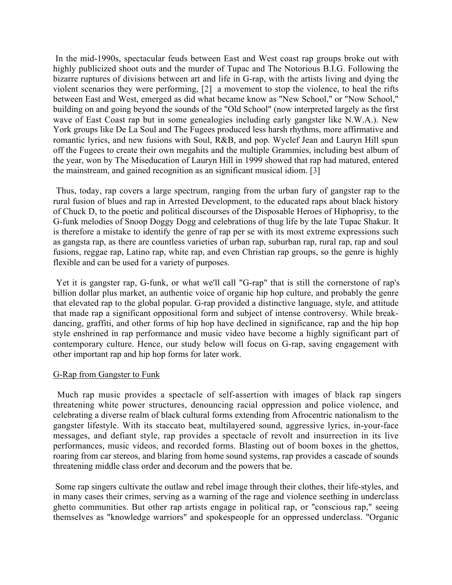In the mid-1990s, spectacular feuds between East and West coast rap groups broke out with highly publicized shoot outs and the murder of Tupac and The Notorious B.I.G. Following the bizarre ruptures of divisions between art and life in G-rap, with the artists living and dying the violent scenarios they were performing, [2] a movement to stop the violence, to heal the rifts between East and West, emerged as did what became know as "New School," or "Now School," building on and going beyond the sounds of the "Old School" (now interpreted largely as the first wave of East Coast rap but in some genealogies including early gangster like N.W.A.). New York groups like De La Soul and The Fugees produced less harsh rhythms, more affirmative and romantic lyrics, and new fusions with Soul, R&B, and pop. Wyclef Jean and Lauryn Hill spun off the Fugees to create their own megahits and the multiple Grammies, including best album of the year, won by The Miseducation of Lauryn Hill in 1999 showed that rap had matured, entered the mainstream, and gained recognition as an significant musical idiom. [3]

Thus, today, rap covers a large spectrum, ranging from the urban fury of gangster rap to the rural fusion of blues and rap in Arrested Development, to the educated raps about black history of Chuck D, to the poetic and political discourses of the Disposable Heroes of Hiphoprisy, to the G-funk melodies of Snoop Doggy Dogg and celebrations of thug life by the late Tupac Shakur. It is therefore a mistake to identify the genre of rap per se with its most extreme expressions such as gangsta rap, as there are countless varieties of urban rap, suburban rap, rural rap, rap and soul fusions, reggae rap, Latino rap, white rap, and even Christian rap groups, so the genre is highly flexible and can be used for a variety of purposes.

Yet it is gangster rap, G-funk, or what we'll call "G-rap" that is still the cornerstone of rap's billion dollar plus market, an authentic voice of organic hip hop culture, and probably the genre that elevated rap to the global popular. G-rap provided a distinctive language, style, and attitude that made rap a significant oppositional form and subject of intense controversy. While breakdancing, graffiti, and other forms of hip hop have declined in significance, rap and the hip hop style enshrined in rap performance and music video have become a highly significant part of contemporary culture. Hence, our study below will focus on G-rap, saving engagement with other important rap and hip hop forms for later work.

#### G-Rap from Gangster to Funk

Much rap music provides a spectacle of self-assertion with images of black rap singers threatening white power structures, denouncing racial oppression and police violence, and celebrating a diverse realm of black cultural forms extending from Afrocentric nationalism to the gangster lifestyle. With its staccato beat, multilayered sound, aggressive lyrics, in-your-face messages, and defiant style, rap provides a spectacle of revolt and insurrection in its live performances, music videos, and recorded forms. Blasting out of boom boxes in the ghettos, roaring from car stereos, and blaring from home sound systems, rap provides a cascade of sounds threatening middle class order and decorum and the powers that be.

Some rap singers cultivate the outlaw and rebel image through their clothes, their life-styles, and in many cases their crimes, serving as a warning of the rage and violence seething in underclass ghetto communities. But other rap artists engage in political rap, or "conscious rap," seeing themselves as "knowledge warriors" and spokespeople for an oppressed underclass. "Organic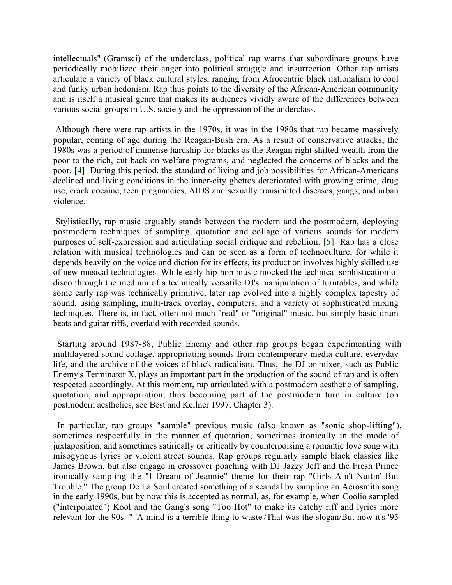intellectuals" (Gramsci) of the underclass, political rap warns that subordinate groups have periodically mobilized their anger into political struggle and insurrection. Other rap artists articulate a variety of black cultural styles, ranging from Afrocentric black nationalism to cool and funky urban hedonism. Rap thus points to the diversity of the African-American community and is itself a musical genre that makes its audiences vividly aware of the differences between various social groups in U.S. society and the oppression of the underclass.

Although there were rap artists in the 1970s, it was in the 1980s that rap became massively popular, coming of age during the Reagan-Bush era. As a result of conservative attacks, the 1980s was a period of immense hardship for blacks as the Reagan right shifted wealth from the poor to the rich, cut back on welfare programs, and neglected the concerns of blacks and the poor. [4] During this period, the standard of living and job possibilities for African-Americans declined and living conditions in the inner-city ghettos deteriorated with growing crime, drug use, crack cocaine, teen pregnancies, AIDS and sexually transmitted diseases, gangs, and urban violence.

Stylistically, rap music arguably stands between the modern and the postmodern, deploying postmodern techniques of sampling, quotation and collage of various sounds for modern purposes of self-expression and articulating social critique and rebellion. [5] Rap has a close relation with musical technologies and can be seen as a form of technoculture, for while it depends heavily on the voice and diction for its effects, its production involves highly skilled use of new musical technologies. While early hip-hop music mocked the technical sophistication of disco through the medium of a technically versatile DJ's manipulation of turntables, and while some early rap was technically primitive, later rap evolved into a highly complex tapestry of sound, using sampling, multi-track overlay, computers, and a variety of sophisticated mixing techniques. There is, in fact, often not much "real" or "original" music, but simply basic drum beats and guitar riffs, overlaid with recorded sounds.

Starting around 1987-88, Public Enemy and other rap groups began experimenting with multilayered sound collage, appropriating sounds from contemporary media culture, everyday life, and the archive of the voices of black radicalism. Thus, the DJ or mixer, such as Public Enemy's Terminator X, plays an important part in the production of the sound of rap and is often respected accordingly. At this moment, rap articulated with a postmodern aesthetic of sampling, quotation, and appropriation, thus becoming part of the postmodern turn in culture (on postmodern aesthetics, see Best and Kellner 1997, Chapter 3).

In particular, rap groups "sample" previous music (also known as "sonic shop-lifting"), sometimes respectfully in the manner of quotation, sometimes ironically in the mode of juxtaposition, and sometimes satirically or critically by counterpoising a romantic love song with misogynous lyrics or violent street sounds. Rap groups regularly sample black classics like James Brown, but also engage in crossover poaching with DJ Jazzy Jeff and the Fresh Prince ironically sampling the "I Dream of Jeannie" theme for their rap "Girls Ain't Nuttin' But Trouble." The group De La Soul created something of a scandal by sampling an Aerosmith song in the early 1990s, but by now this is accepted as normal, as, for example, when Coolio sampled ("interpolated") Kool and the Gang's song "Too Hot" to make its catchy riff and lyrics more relevant for the 90s: " 'A mind is a terrible thing to waste'/That was the slogan/But now it's '95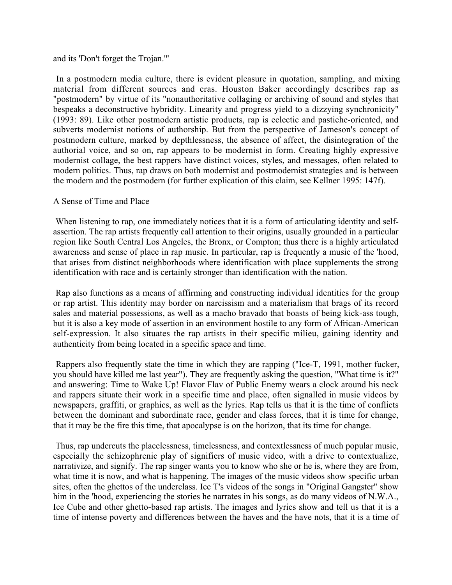#### and its 'Don't forget the Trojan.'"

In a postmodern media culture, there is evident pleasure in quotation, sampling, and mixing material from different sources and eras. Houston Baker accordingly describes rap as "postmodern" by virtue of its "nonauthoritative collaging or archiving of sound and styles that bespeaks a deconstructive hybridity. Linearity and progress yield to a dizzying synchronicity" (1993: 89). Like other postmodern artistic products, rap is eclectic and pastiche-oriented, and subverts modernist notions of authorship. But from the perspective of Jameson's concept of postmodern culture, marked by depthlessness, the absence of affect, the disintegration of the authorial voice, and so on, rap appears to be modernist in form. Creating highly expressive modernist collage, the best rappers have distinct voices, styles, and messages, often related to modern politics. Thus, rap draws on both modernist and postmodernist strategies and is between the modern and the postmodern (for further explication of this claim, see Kellner 1995: 147f).

# A Sense of Time and Place

When listening to rap, one immediately notices that it is a form of articulating identity and selfassertion. The rap artists frequently call attention to their origins, usually grounded in a particular region like South Central Los Angeles, the Bronx, or Compton; thus there is a highly articulated awareness and sense of place in rap music. In particular, rap is frequently a music of the 'hood, that arises from distinct neighborhoods where identification with place supplements the strong identification with race and is certainly stronger than identification with the nation.

Rap also functions as a means of affirming and constructing individual identities for the group or rap artist. This identity may border on narcissism and a materialism that brags of its record sales and material possessions, as well as a macho bravado that boasts of being kick-ass tough, but it is also a key mode of assertion in an environment hostile to any form of African-American self-expression. It also situates the rap artists in their specific milieu, gaining identity and authenticity from being located in a specific space and time.

Rappers also frequently state the time in which they are rapping ("Ice-T, 1991, mother fucker, you should have killed me last year"). They are frequently asking the question, "What time is it?" and answering: Time to Wake Up! Flavor Flav of Public Enemy wears a clock around his neck and rappers situate their work in a specific time and place, often signalled in music videos by newspapers, graffiti, or graphics, as well as the lyrics. Rap tells us that it is the time of conflicts between the dominant and subordinate race, gender and class forces, that it is time for change, that it may be the fire this time, that apocalypse is on the horizon, that its time for change.

Thus, rap undercuts the placelessness, timelessness, and contextlessness of much popular music, especially the schizophrenic play of signifiers of music video, with a drive to contextualize, narrativize, and signify. The rap singer wants you to know who she or he is, where they are from, what time it is now, and what is happening. The images of the music videos show specific urban sites, often the ghettos of the underclass. Ice T's videos of the songs in "Original Gangster" show him in the 'hood, experiencing the stories he narrates in his songs, as do many videos of N.W.A., Ice Cube and other ghetto-based rap artists. The images and lyrics show and tell us that it is a time of intense poverty and differences between the haves and the have nots, that it is a time of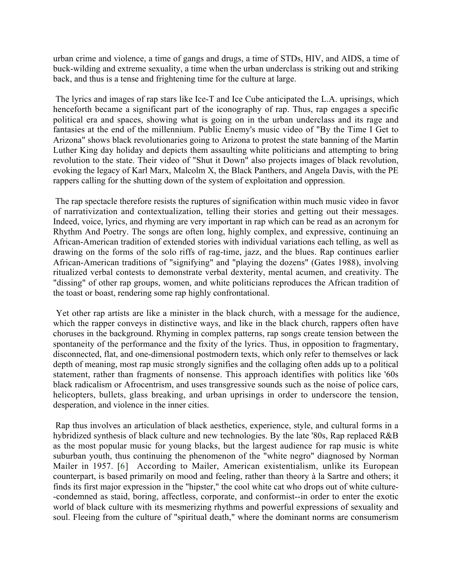urban crime and violence, a time of gangs and drugs, a time of STDs, HIV, and AIDS, a time of buck-wilding and extreme sexuality, a time when the urban underclass is striking out and striking back, and thus is a tense and frightening time for the culture at large.

The lyrics and images of rap stars like Ice-T and Ice Cube anticipated the L.A. uprisings, which henceforth became a significant part of the iconography of rap. Thus, rap engages a specific political era and spaces, showing what is going on in the urban underclass and its rage and fantasies at the end of the millennium. Public Enemy's music video of "By the Time I Get to Arizona" shows black revolutionaries going to Arizona to protest the state banning of the Martin Luther King day holiday and depicts them assaulting white politicians and attempting to bring revolution to the state. Their video of "Shut it Down" also projects images of black revolution, evoking the legacy of Karl Marx, Malcolm X, the Black Panthers, and Angela Davis, with the PE rappers calling for the shutting down of the system of exploitation and oppression.

The rap spectacle therefore resists the ruptures of signification within much music video in favor of narrativization and contextualization, telling their stories and getting out their messages. Indeed, voice, lyrics, and rhyming are very important in rap which can be read as an acronym for Rhythm And Poetry. The songs are often long, highly complex, and expressive, continuing an African-American tradition of extended stories with individual variations each telling, as well as drawing on the forms of the solo riffs of rag-time, jazz, and the blues. Rap continues earlier African-American traditions of "signifying" and "playing the dozens" (Gates 1988), involving ritualized verbal contests to demonstrate verbal dexterity, mental acumen, and creativity. The "dissing" of other rap groups, women, and white politicians reproduces the African tradition of the toast or boast, rendering some rap highly confrontational.

Yet other rap artists are like a minister in the black church, with a message for the audience, which the rapper conveys in distinctive ways, and like in the black church, rappers often have choruses in the background. Rhyming in complex patterns, rap songs create tension between the spontaneity of the performance and the fixity of the lyrics. Thus, in opposition to fragmentary, disconnected, flat, and one-dimensional postmodern texts, which only refer to themselves or lack depth of meaning, most rap music strongly signifies and the collaging often adds up to a political statement, rather than fragments of nonsense. This approach identifies with politics like '60s black radicalism or Afrocentrism, and uses transgressive sounds such as the noise of police cars, helicopters, bullets, glass breaking, and urban uprisings in order to underscore the tension, desperation, and violence in the inner cities.

Rap thus involves an articulation of black aesthetics, experience, style, and cultural forms in a hybridized synthesis of black culture and new technologies. By the late '80s, Rap replaced R&B as the most popular music for young blacks, but the largest audience for rap music is white suburban youth, thus continuing the phenomenon of the "white negro" diagnosed by Norman Mailer in 1957. [6] According to Mailer, American existentialism, unlike its European counterpart, is based primarily on mood and feeling, rather than theory à la Sartre and others; it finds its first major expression in the "hipster," the cool white cat who drops out of white culture- -condemned as staid, boring, affectless, corporate, and conformist--in order to enter the exotic world of black culture with its mesmerizing rhythms and powerful expressions of sexuality and soul. Fleeing from the culture of "spiritual death," where the dominant norms are consumerism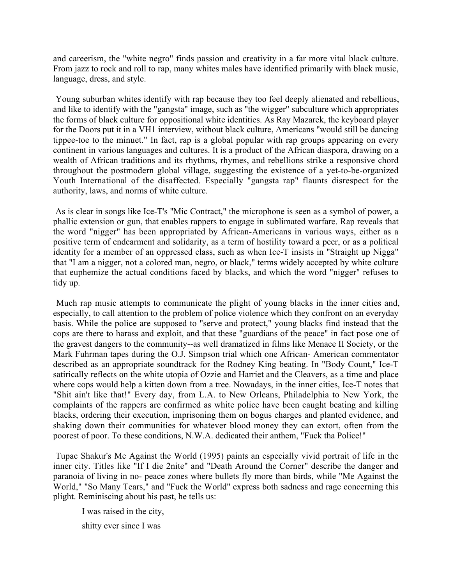and careerism, the "white negro" finds passion and creativity in a far more vital black culture. From jazz to rock and roll to rap, many whites males have identified primarily with black music, language, dress, and style.

Young suburban whites identify with rap because they too feel deeply alienated and rebellious, and like to identify with the "gangsta" image, such as "the wigger" subculture which appropriates the forms of black culture for oppositional white identities. As Ray Mazarek, the keyboard player for the Doors put it in a VH1 interview, without black culture, Americans "would still be dancing tippee-toe to the minuet." In fact, rap is a global popular with rap groups appearing on every continent in various languages and cultures. It is a product of the African diaspora, drawing on a wealth of African traditions and its rhythms, rhymes, and rebellions strike a responsive chord throughout the postmodern global village, suggesting the existence of a yet-to-be-organized Youth International of the disaffected. Especially "gangsta rap" flaunts disrespect for the authority, laws, and norms of white culture.

As is clear in songs like Ice-T's "Mic Contract," the microphone is seen as a symbol of power, a phallic extension or gun, that enables rappers to engage in sublimated warfare. Rap reveals that the word "nigger" has been appropriated by African-Americans in various ways, either as a positive term of endearment and solidarity, as a term of hostility toward a peer, or as a political identity for a member of an oppressed class, such as when Ice-T insists in "Straight up Nigga" that "I am a nigger, not a colored man, negro, or black," terms widely accepted by white culture that euphemize the actual conditions faced by blacks, and which the word "nigger" refuses to tidy up.

Much rap music attempts to communicate the plight of young blacks in the inner cities and, especially, to call attention to the problem of police violence which they confront on an everyday basis. While the police are supposed to "serve and protect," young blacks find instead that the cops are there to harass and exploit, and that these "guardians of the peace" in fact pose one of the gravest dangers to the community--as well dramatized in films like Menace II Society, or the Mark Fuhrman tapes during the O.J. Simpson trial which one African- American commentator described as an appropriate soundtrack for the Rodney King beating. In "Body Count," Ice-T satirically reflects on the white utopia of Ozzie and Harriet and the Cleavers, as a time and place where cops would help a kitten down from a tree. Nowadays, in the inner cities, Ice-T notes that "Shit ain't like that!" Every day, from L.A. to New Orleans, Philadelphia to New York, the complaints of the rappers are confirmed as white police have been caught beating and killing blacks, ordering their execution, imprisoning them on bogus charges and planted evidence, and shaking down their communities for whatever blood money they can extort, often from the poorest of poor. To these conditions, N.W.A. dedicated their anthem, "Fuck tha Police!"

Tupac Shakur's Me Against the World (1995) paints an especially vivid portrait of life in the inner city. Titles like "If I die 2nite" and "Death Around the Corner" describe the danger and paranoia of living in no- peace zones where bullets fly more than birds, while "Me Against the World," "So Many Tears," and "Fuck the World" express both sadness and rage concerning this plight. Reminiscing about his past, he tells us:

I was raised in the city,

shitty ever since I was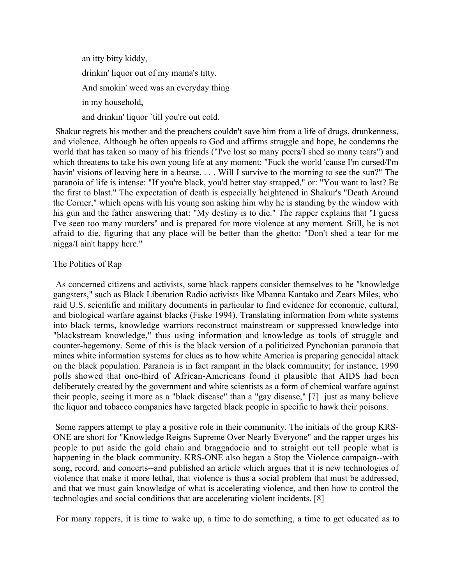an itty bitty kiddy, drinkin' liquor out of my mama's titty. And smokin' weed was an everyday thing in my household, and drinkin' liquor `till you're out cold.

Shakur regrets his mother and the preachers couldn't save him from a life of drugs, drunkenness, and violence. Although he often appeals to God and affirms struggle and hope, he condemns the world that has taken so many of his friends ("I've lost so many peers/I shed so many tears") and which threatens to take his own young life at any moment: "Fuck the world 'cause I'm cursed/I'm havin' visions of leaving here in a hearse. . . . Will I survive to the morning to see the sun?" The paranoia of life is intense: "If you're black, you'd better stay strapped," or: "You want to last? Be the first to blast." The expectation of death is especially heightened in Shakur's "Death Around the Corner," which opens with his young son asking him why he is standing by the window with his gun and the father answering that: "My destiny is to die." The rapper explains that "I guess I've seen too many murders" and is prepared for more violence at any moment. Still, he is not afraid to die, figuring that any place will be better than the ghetto: "Don't shed a tear for me nigga/I ain't happy here."

# The Politics of Rap

As concerned citizens and activists, some black rappers consider themselves to be "knowledge gangsters," such as Black Liberation Radio activists like Mbanna Kantako and Zears Miles, who raid U.S. scientific and military documents in particular to find evidence for economic, cultural, and biological warfare against blacks (Fiske 1994). Translating information from white systems into black terms, knowledge warriors reconstruct mainstream or suppressed knowledge into "blackstream knowledge," thus using information and knowledge as tools of struggle and counter-hegemony. Some of this is the black version of a politicized Pynchonian paranoia that mines white information systems for clues as to how white America is preparing genocidal attack on the black population. Paranoia is in fact rampant in the black community; for instance, 1990 polls showed that one-third of African-Americans found it plausible that AIDS had been deliberately created by the government and white scientists as a form of chemical warfare against their people, seeing it more as a "black disease" than a "gay disease," [7] just as many believe the liquor and tobacco companies have targeted black people in specific to hawk their poisons.

Some rappers attempt to play a positive role in their community. The initials of the group KRS-ONE are short for "Knowledge Reigns Supreme Over Nearly Everyone" and the rapper urges his people to put aside the gold chain and braggadocio and to straight out tell people what is happening in the black community. KRS-ONE also began a Stop the Violence campaign--with song, record, and concerts--and published an article which argues that it is new technologies of violence that make it more lethal, that violence is thus a social problem that must be addressed, and that we must gain knowledge of what is accelerating violence, and then how to control the technologies and social conditions that are accelerating violent incidents. [8]

For many rappers, it is time to wake up, a time to do something, a time to get educated as to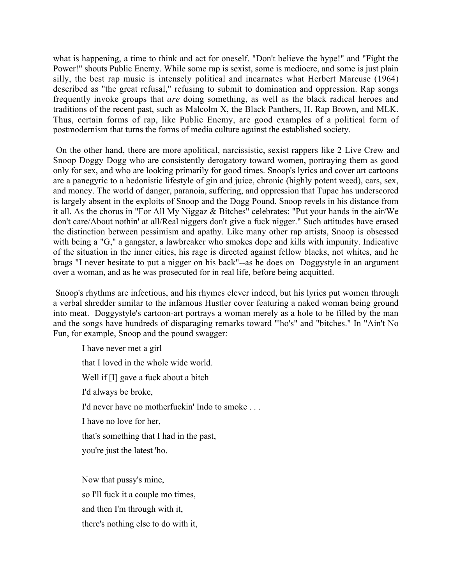what is happening, a time to think and act for oneself. "Don't believe the hype!" and "Fight the Power!" shouts Public Enemy. While some rap is sexist, some is mediocre, and some is just plain silly, the best rap music is intensely political and incarnates what Herbert Marcuse (1964) described as "the great refusal," refusing to submit to domination and oppression. Rap songs frequently invoke groups that *are* doing something, as well as the black radical heroes and traditions of the recent past, such as Malcolm X, the Black Panthers, H. Rap Brown, and MLK. Thus, certain forms of rap, like Public Enemy, are good examples of a political form of postmodernism that turns the forms of media culture against the established society.

On the other hand, there are more apolitical, narcissistic, sexist rappers like 2 Live Crew and Snoop Doggy Dogg who are consistently derogatory toward women, portraying them as good only for sex, and who are looking primarily for good times. Snoop's lyrics and cover art cartoons are a panegyric to a hedonistic lifestyle of gin and juice, chronic (highly potent weed), cars, sex, and money. The world of danger, paranoia, suffering, and oppression that Tupac has underscored is largely absent in the exploits of Snoop and the Dogg Pound. Snoop revels in his distance from it all. As the chorus in "For All My Niggaz & Bitches" celebrates: "Put your hands in the air/We don't care/About nothin' at all/Real niggers don't give a fuck nigger." Such attitudes have erased the distinction between pessimism and apathy. Like many other rap artists, Snoop is obsessed with being a "G," a gangster, a lawbreaker who smokes dope and kills with impunity. Indicative of the situation in the inner cities, his rage is directed against fellow blacks, not whites, and he brags "I never hesitate to put a nigger on his back"--as he does on Doggystyle in an argument over a woman, and as he was prosecuted for in real life, before being acquitted.

Snoop's rhythms are infectious, and his rhymes clever indeed, but his lyrics put women through a verbal shredder similar to the infamous Hustler cover featuring a naked woman being ground into meat. Doggystyle's cartoon-art portrays a woman merely as a hole to be filled by the man and the songs have hundreds of disparaging remarks toward "'ho's" and "bitches." In "Ain't No Fun, for example, Snoop and the pound swagger:

 I have never met a girl that I loved in the whole wide world. Well if [I] gave a fuck about a bitch I'd always be broke, I'd never have no motherfuckin' Indo to smoke . . . I have no love for her, that's something that I had in the past, you're just the latest 'ho. Now that pussy's mine,

so I'll fuck it a couple mo times, and then I'm through with it, there's nothing else to do with it,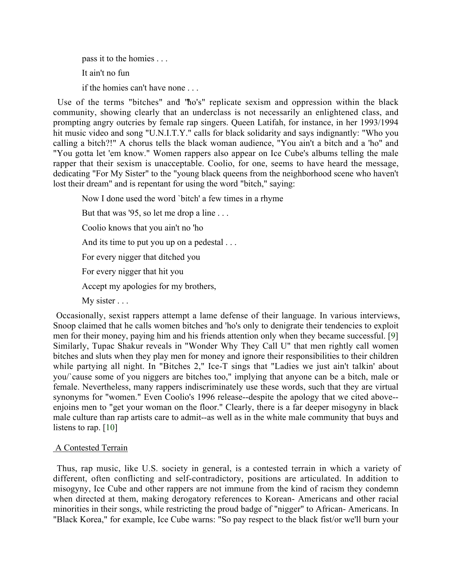pass it to the homies . . . It ain't no fun if the homies can't have none . . .

Use of the terms "bitches" and "'ho's" replicate sexism and oppression within the black community, showing clearly that an underclass is not necessarily an enlightened class, and prompting angry outcries by female rap singers. Queen Latifah, for instance, in her 1993/1994 hit music video and song "U.N.I.T.Y." calls for black solidarity and says indignantly: "Who you calling a bitch?!" A chorus tells the black woman audience, "You ain't a bitch and a 'ho" and "You gotta let 'em know." Women rappers also appear on Ice Cube's albums telling the male rapper that their sexism is unacceptable. Coolio, for one, seems to have heard the message, dedicating "For My Sister" to the "young black queens from the neighborhood scene who haven't lost their dream" and is repentant for using the word "bitch," saying:

Now I done used the word `bitch' a few times in a rhyme

But that was '95, so let me drop a line ...

Coolio knows that you ain't no 'ho

And its time to put you up on a pedestal . . .

For every nigger that ditched you

For every nigger that hit you

Accept my apologies for my brothers,

My sister . . .

Occasionally, sexist rappers attempt a lame defense of their language. In various interviews, Snoop claimed that he calls women bitches and 'ho's only to denigrate their tendencies to exploit men for their money, paying him and his friends attention only when they became successful. [9] Similarly, Tupac Shakur reveals in "Wonder Why They Call U" that men rightly call women bitches and sluts when they play men for money and ignore their responsibilities to their children while partying all night. In "Bitches 2," Ice-T sings that "Ladies we just ain't talkin' about you/`cause some of you niggers are bitches too," implying that anyone can be a bitch, male or female. Nevertheless, many rappers indiscriminately use these words, such that they are virtual synonyms for "women." Even Coolio's 1996 release--despite the apology that we cited above- enjoins men to "get your woman on the floor." Clearly, there is a far deeper misogyny in black male culture than rap artists care to admit--as well as in the white male community that buys and listens to rap. [10]

# A Contested Terrain

Thus, rap music, like U.S. society in general, is a contested terrain in which a variety of different, often conflicting and self-contradictory, positions are articulated. In addition to misogyny, Ice Cube and other rappers are not immune from the kind of racism they condemn when directed at them, making derogatory references to Korean- Americans and other racial minorities in their songs, while restricting the proud badge of "nigger" to African- Americans. In "Black Korea," for example, Ice Cube warns: "So pay respect to the black fist/or we'll burn your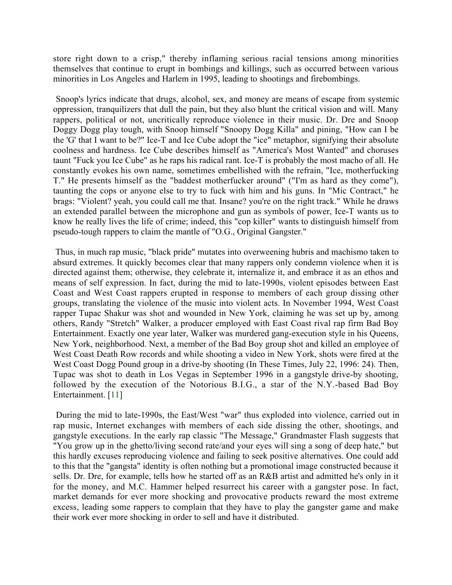store right down to a crisp," thereby inflaming serious racial tensions among minorities themselves that continue to erupt in bombings and killings, such as occurred between various minorities in Los Angeles and Harlem in 1995, leading to shootings and firebombings.

Snoop's lyrics indicate that drugs, alcohol, sex, and money are means of escape from systemic oppression, tranquilizers that dull the pain, but they also blunt the critical vision and will. Many rappers, political or not, uncritically reproduce violence in their music. Dr. Dre and Snoop Doggy Dogg play tough, with Snoop himself "Snoopy Dogg Killa" and pining, "How can I be the 'G' that I want to be?" Ice-T and Ice Cube adopt the "ice" metaphor, signifying their absolute coolness and hardness. Ice Cube describes himself as "America's Most Wanted" and choruses taunt "Fuck you Ice Cube" as he raps his radical rant. Ice-T is probably the most macho of all. He constantly evokes his own name, sometimes embellished with the refrain, "Ice, motherfucking T." He presents himself as the "baddest motherfucker around" ("I'm as hard as they come"), taunting the cops or anyone else to try to fuck with him and his guns. In "Mic Contract," he brags: "Violent? yeah, you could call me that. Insane? you're on the right track." While he draws an extended parallel between the microphone and gun as symbols of power, Ice-T wants us to know he really lives the life of crime; indeed, this "cop killer" wants to distinguish himself from pseudo-tough rappers to claim the mantle of "O.G., Original Gangster."

Thus, in much rap music, "black pride" mutates into overweening hubris and machismo taken to absurd extremes. It quickly becomes clear that many rappers only condemn violence when it is directed against them; otherwise, they celebrate it, internalize it, and embrace it as an ethos and means of self expression. In fact, during the mid to late-1990s, violent episodes between East Coast and West Coast rappers erupted in response to members of each group dissing other groups, translating the violence of the music into violent acts. In November 1994, West Coast rapper Tupac Shakur was shot and wounded in New York, claiming he was set up by, among others, Randy "Stretch" Walker, a producer employed with East Coast rival rap firm Bad Boy Entertainment. Exactly one year later, Walker was murdered gang-execution style in his Queens, New York, neighborhood. Next, a member of the Bad Boy group shot and killed an employee of West Coast Death Row records and while shooting a video in New York, shots were fired at the West Coast Dogg Pound group in a drive-by shooting (In These Times, July 22, 1996: 24). Then, Tupac was shot to death in Los Vegas in September 1996 in a gangstyle drive-by shooting, followed by the execution of the Notorious B.I.G., a star of the N.Y.-based Bad Boy Entertainment. [11]

During the mid to late-1990s, the East/West "war" thus exploded into violence, carried out in rap music, Internet exchanges with members of each side dissing the other, shootings, and gangstyle executions. In the early rap classic "The Message," Grandmaster Flash suggests that "You grow up in the ghetto/living second rate/and your eyes will sing a song of deep hate," but this hardly excuses reproducing violence and failing to seek positive alternatives. One could add to this that the "gangsta" identity is often nothing but a promotional image constructed because it sells. Dr. Dre, for example, tells how he started off as an R&B artist and admitted he's only in it for the money, and M.C. Hammer helped resurrect his career with a gangster pose. In fact, market demands for ever more shocking and provocative products reward the most extreme excess, leading some rappers to complain that they have to play the gangster game and make their work ever more shocking in order to sell and have it distributed.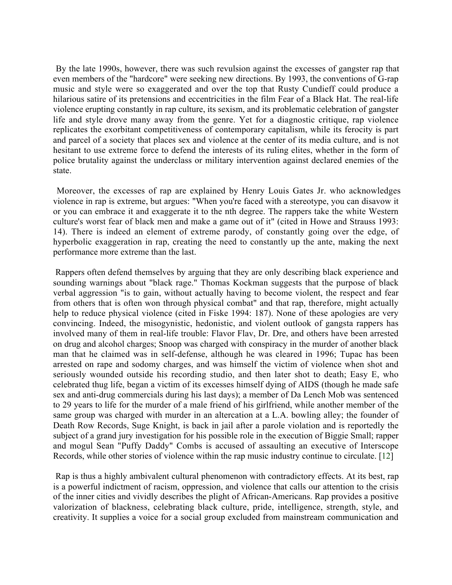By the late 1990s, however, there was such revulsion against the excesses of gangster rap that even members of the "hardcore" were seeking new directions. By 1993, the conventions of G-rap music and style were so exaggerated and over the top that Rusty Cundieff could produce a hilarious satire of its pretensions and eccentricities in the film Fear of a Black Hat. The real-life violence erupting constantly in rap culture, its sexism, and its problematic celebration of gangster life and style drove many away from the genre. Yet for a diagnostic critique, rap violence replicates the exorbitant competitiveness of contemporary capitalism, while its ferocity is part and parcel of a society that places sex and violence at the center of its media culture, and is not hesitant to use extreme force to defend the interests of its ruling elites, whether in the form of police brutality against the underclass or military intervention against declared enemies of the state.

Moreover, the excesses of rap are explained by Henry Louis Gates Jr. who acknowledges violence in rap is extreme, but argues: "When you're faced with a stereotype, you can disavow it or you can embrace it and exaggerate it to the nth degree. The rappers take the white Western culture's worst fear of black men and make a game out of it" (cited in Howe and Strauss 1993: 14). There is indeed an element of extreme parody, of constantly going over the edge, of hyperbolic exaggeration in rap, creating the need to constantly up the ante, making the next performance more extreme than the last.

Rappers often defend themselves by arguing that they are only describing black experience and sounding warnings about "black rage." Thomas Kockman suggests that the purpose of black verbal aggression "is to gain, without actually having to become violent, the respect and fear from others that is often won through physical combat" and that rap, therefore, might actually help to reduce physical violence (cited in Fiske 1994: 187). None of these apologies are very convincing. Indeed, the misogynistic, hedonistic, and violent outlook of gangsta rappers has involved many of them in real-life trouble: Flavor Flav, Dr. Dre, and others have been arrested on drug and alcohol charges; Snoop was charged with conspiracy in the murder of another black man that he claimed was in self-defense, although he was cleared in 1996; Tupac has been arrested on rape and sodomy charges, and was himself the victim of violence when shot and seriously wounded outside his recording studio, and then later shot to death; Easy E, who celebrated thug life, began a victim of its excesses himself dying of AIDS (though he made safe sex and anti-drug commercials during his last days); a member of Da Lench Mob was sentenced to 29 years to life for the murder of a male friend of his girlfriend, while another member of the same group was charged with murder in an altercation at a L.A. bowling alley; the founder of Death Row Records, Suge Knight, is back in jail after a parole violation and is reportedly the subject of a grand jury investigation for his possible role in the execution of Biggie Small; rapper and mogul Sean "Puffy Daddy" Combs is accused of assaulting an executive of Interscope Records, while other stories of violence within the rap music industry continue to circulate. [12]

Rap is thus a highly ambivalent cultural phenomenon with contradictory effects. At its best, rap is a powerful indictment of racism, oppression, and violence that calls our attention to the crisis of the inner cities and vividly describes the plight of African-Americans. Rap provides a positive valorization of blackness, celebrating black culture, pride, intelligence, strength, style, and creativity. It supplies a voice for a social group excluded from mainstream communication and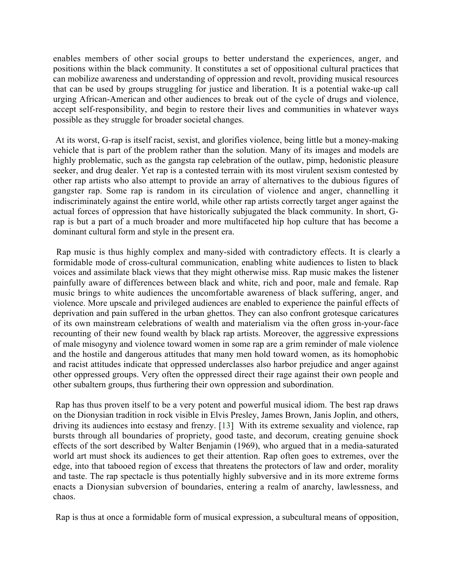enables members of other social groups to better understand the experiences, anger, and positions within the black community. It constitutes a set of oppositional cultural practices that can mobilize awareness and understanding of oppression and revolt, providing musical resources that can be used by groups struggling for justice and liberation. It is a potential wake-up call urging African-American and other audiences to break out of the cycle of drugs and violence, accept self-responsibility, and begin to restore their lives and communities in whatever ways possible as they struggle for broader societal changes.

At its worst, G-rap is itself racist, sexist, and glorifies violence, being little but a money-making vehicle that is part of the problem rather than the solution. Many of its images and models are highly problematic, such as the gangsta rap celebration of the outlaw, pimp, hedonistic pleasure seeker, and drug dealer. Yet rap is a contested terrain with its most virulent sexism contested by other rap artists who also attempt to provide an array of alternatives to the dubious figures of gangster rap. Some rap is random in its circulation of violence and anger, channelling it indiscriminately against the entire world, while other rap artists correctly target anger against the actual forces of oppression that have historically subjugated the black community. In short, Grap is but a part of a much broader and more multifaceted hip hop culture that has become a dominant cultural form and style in the present era.

Rap music is thus highly complex and many-sided with contradictory effects. It is clearly a formidable mode of cross-cultural communication, enabling white audiences to listen to black voices and assimilate black views that they might otherwise miss. Rap music makes the listener painfully aware of differences between black and white, rich and poor, male and female. Rap music brings to white audiences the uncomfortable awareness of black suffering, anger, and violence. More upscale and privileged audiences are enabled to experience the painful effects of deprivation and pain suffered in the urban ghettos. They can also confront grotesque caricatures of its own mainstream celebrations of wealth and materialism via the often gross in-your-face recounting of their new found wealth by black rap artists. Moreover, the aggressive expressions of male misogyny and violence toward women in some rap are a grim reminder of male violence and the hostile and dangerous attitudes that many men hold toward women, as its homophobic and racist attitudes indicate that oppressed underclasses also harbor prejudice and anger against other oppressed groups. Very often the oppressed direct their rage against their own people and other subaltern groups, thus furthering their own oppression and subordination.

Rap has thus proven itself to be a very potent and powerful musical idiom. The best rap draws on the Dionysian tradition in rock visible in Elvis Presley, James Brown, Janis Joplin, and others, driving its audiences into ecstasy and frenzy. [13] With its extreme sexuality and violence, rap bursts through all boundaries of propriety, good taste, and decorum, creating genuine shock effects of the sort described by Walter Benjamin (1969), who argued that in a media-saturated world art must shock its audiences to get their attention. Rap often goes to extremes, over the edge, into that tabooed region of excess that threatens the protectors of law and order, morality and taste. The rap spectacle is thus potentially highly subversive and in its more extreme forms enacts a Dionysian subversion of boundaries, entering a realm of anarchy, lawlessness, and chaos.

Rap is thus at once a formidable form of musical expression, a subcultural means of opposition,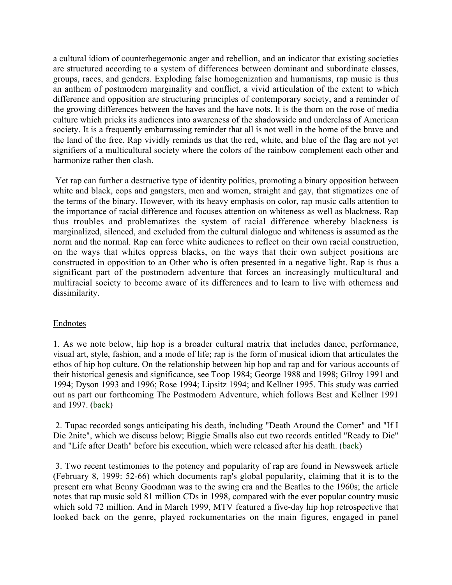a cultural idiom of counterhegemonic anger and rebellion, and an indicator that existing societies are structured according to a system of differences between dominant and subordinate classes, groups, races, and genders. Exploding false homogenization and humanisms, rap music is thus an anthem of postmodern marginality and conflict, a vivid articulation of the extent to which difference and opposition are structuring principles of contemporary society, and a reminder of the growing differences between the haves and the have nots. It is the thorn on the rose of media culture which pricks its audiences into awareness of the shadowside and underclass of American society. It is a frequently embarrassing reminder that all is not well in the home of the brave and the land of the free. Rap vividly reminds us that the red, white, and blue of the flag are not yet signifiers of a multicultural society where the colors of the rainbow complement each other and harmonize rather then clash.

Yet rap can further a destructive type of identity politics, promoting a binary opposition between white and black, cops and gangsters, men and women, straight and gay, that stigmatizes one of the terms of the binary. However, with its heavy emphasis on color, rap music calls attention to the importance of racial difference and focuses attention on whiteness as well as blackness. Rap thus troubles and problematizes the system of racial difference whereby blackness is marginalized, silenced, and excluded from the cultural dialogue and whiteness is assumed as the norm and the normal. Rap can force white audiences to reflect on their own racial construction, on the ways that whites oppress blacks, on the ways that their own subject positions are constructed in opposition to an Other who is often presented in a negative light. Rap is thus a significant part of the postmodern adventure that forces an increasingly multicultural and multiracial society to become aware of its differences and to learn to live with otherness and dissimilarity.

# **Endnotes**

1. As we note below, hip hop is a broader cultural matrix that includes dance, performance, visual art, style, fashion, and a mode of life; rap is the form of musical idiom that articulates the ethos of hip hop culture. On the relationship between hip hop and rap and for various accounts of their historical genesis and significance, see Toop 1984; George 1988 and 1998; Gilroy 1991 and 1994; Dyson 1993 and 1996; Rose 1994; Lipsitz 1994; and Kellner 1995. This study was carried out as part our forthcoming The Postmodern Adventure, which follows Best and Kellner 1991 and 1997. (back)

2. Tupac recorded songs anticipating his death, including "Death Around the Corner" and "If I Die 2nite", which we discuss below; Biggie Smalls also cut two records entitled "Ready to Die" and "Life after Death" before his execution, which were released after his death. (back)

3. Two recent testimonies to the potency and popularity of rap are found in Newsweek article (February 8, 1999: 52-66) which documents rap's global popularity, claiming that it is to the present era what Benny Goodman was to the swing era and the Beatles to the 1960s; the article notes that rap music sold 81 million CDs in 1998, compared with the ever popular country music which sold 72 million. And in March 1999, MTV featured a five-day hip hop retrospective that looked back on the genre, played rockumentaries on the main figures, engaged in panel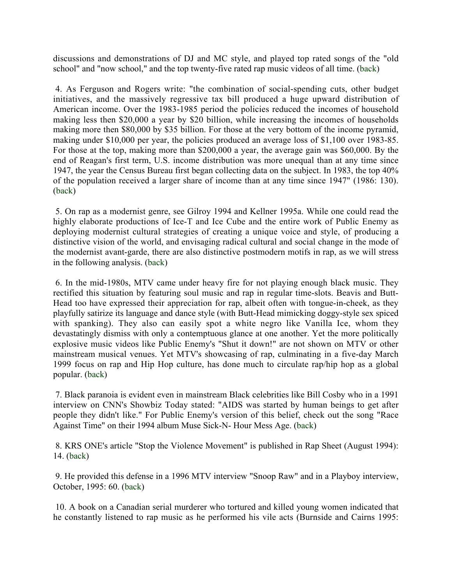discussions and demonstrations of DJ and MC style, and played top rated songs of the "old school" and "now school," and the top twenty-five rated rap music videos of all time. (back)

4. As Ferguson and Rogers write: "the combination of social-spending cuts, other budget initiatives, and the massively regressive tax bill produced a huge upward distribution of American income. Over the 1983-1985 period the policies reduced the incomes of household making less then \$20,000 a year by \$20 billion, while increasing the incomes of households making more then \$80,000 by \$35 billion. For those at the very bottom of the income pyramid, making under \$10,000 per year, the policies produced an average loss of \$1,100 over 1983-85. For those at the top, making more than \$200,000 a year, the average gain was \$60,000. By the end of Reagan's first term, U.S. income distribution was more unequal than at any time since 1947, the year the Census Bureau first began collecting data on the subject. In 1983, the top 40% of the population received a larger share of income than at any time since 1947" (1986: 130). (back)

5. On rap as a modernist genre, see Gilroy 1994 and Kellner 1995a. While one could read the highly elaborate productions of Ice-T and Ice Cube and the entire work of Public Enemy as deploying modernist cultural strategies of creating a unique voice and style, of producing a distinctive vision of the world, and envisaging radical cultural and social change in the mode of the modernist avant-garde, there are also distinctive postmodern motifs in rap, as we will stress in the following analysis. (back)

6. In the mid-1980s, MTV came under heavy fire for not playing enough black music. They rectified this situation by featuring soul music and rap in regular time-slots. Beavis and Butt-Head too have expressed their appreciation for rap, albeit often with tongue-in-cheek, as they playfully satirize its language and dance style (with Butt-Head mimicking doggy-style sex spiced with spanking). They also can easily spot a white negro like Vanilla Ice, whom they devastatingly dismiss with only a contemptuous glance at one another. Yet the more politically explosive music videos like Public Enemy's "Shut it down!" are not shown on MTV or other mainstream musical venues. Yet MTV's showcasing of rap, culminating in a five-day March 1999 focus on rap and Hip Hop culture, has done much to circulate rap/hip hop as a global popular. (back)

7. Black paranoia is evident even in mainstream Black celebrities like Bill Cosby who in a 1991 interview on CNN's Showbiz Today stated: "AIDS was started by human beings to get after people they didn't like." For Public Enemy's version of this belief, check out the song "Race Against Time" on their 1994 album Muse Sick-N- Hour Mess Age. (back)

8. KRS ONE's article "Stop the Violence Movement" is published in Rap Sheet (August 1994): 14. (back)

9. He provided this defense in a 1996 MTV interview "Snoop Raw" and in a Playboy interview, October, 1995: 60. (back)

10. A book on a Canadian serial murderer who tortured and killed young women indicated that he constantly listened to rap music as he performed his vile acts (Burnside and Cairns 1995: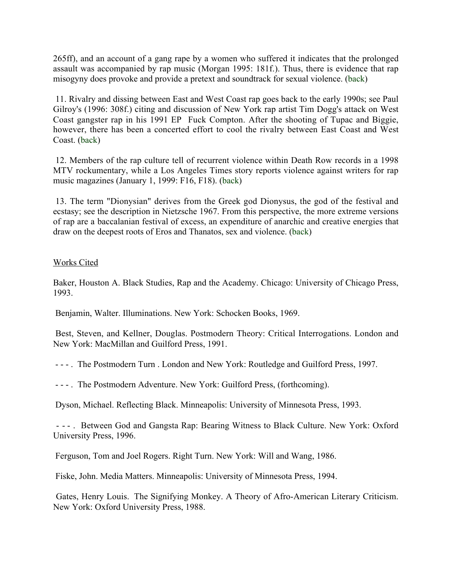265ff), and an account of a gang rape by a women who suffered it indicates that the prolonged assault was accompanied by rap music (Morgan 1995: 181f.). Thus, there is evidence that rap misogyny does provoke and provide a pretext and soundtrack for sexual violence. (back)

11. Rivalry and dissing between East and West Coast rap goes back to the early 1990s; see Paul Gilroy's (1996: 308f.) citing and discussion of New York rap artist Tim Dogg's attack on West Coast gangster rap in his 1991 EP Fuck Compton. After the shooting of Tupac and Biggie, however, there has been a concerted effort to cool the rivalry between East Coast and West Coast. (back)

12. Members of the rap culture tell of recurrent violence within Death Row records in a 1998 MTV rockumentary, while a Los Angeles Times story reports violence against writers for rap music magazines (January 1, 1999: F16, F18). (back)

13. The term "Dionysian" derives from the Greek god Dionysus, the god of the festival and ecstasy; see the description in Nietzsche 1967. From this perspective, the more extreme versions of rap are a baccalanian festival of excess, an expenditure of anarchic and creative energies that draw on the deepest roots of Eros and Thanatos, sex and violence. (back)

# Works Cited

Baker, Houston A. Black Studies, Rap and the Academy. Chicago: University of Chicago Press, 1993.

Benjamin, Walter. Illuminations. New York: Schocken Books, 1969.

Best, Steven, and Kellner, Douglas. Postmodern Theory: Critical Interrogations. London and New York: MacMillan and Guilford Press, 1991.

- - - . The Postmodern Turn . London and New York: Routledge and Guilford Press, 1997.

- - - . The Postmodern Adventure. New York: Guilford Press, (forthcoming).

Dyson, Michael. Reflecting Black. Minneapolis: University of Minnesota Press, 1993.

- - - . Between God and Gangsta Rap: Bearing Witness to Black Culture. New York: Oxford University Press, 1996.

Ferguson, Tom and Joel Rogers. Right Turn. New York: Will and Wang, 1986.

Fiske, John. Media Matters. Minneapolis: University of Minnesota Press, 1994.

Gates, Henry Louis. The Signifying Monkey. A Theory of Afro-American Literary Criticism. New York: Oxford University Press, 1988.